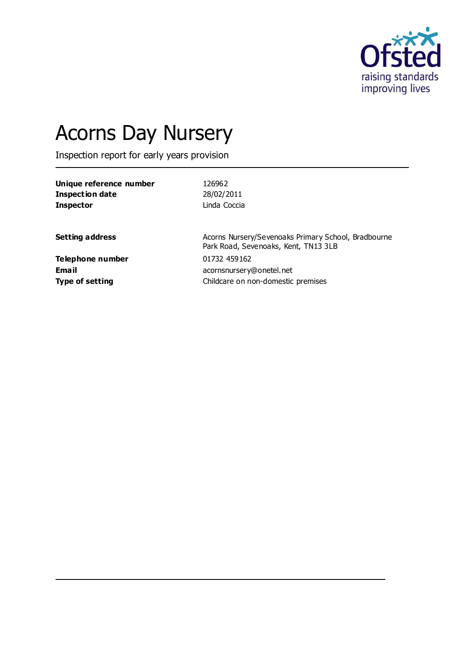

# Acorns Day Nursery

Inspection report for early years provision

| Unique reference number | 126962                                                                                      |
|-------------------------|---------------------------------------------------------------------------------------------|
| Inspection date         | 28/02/2011                                                                                  |
| <b>Inspector</b>        | Linda Coccia                                                                                |
| <b>Setting address</b>  | Acorns Nursery/Sevenoaks Primary School, Bradbourne<br>Park Road, Sevenoaks, Kent, TN13 3LB |
| Telephone number        | 01732 459162                                                                                |
| Email                   | acornsnursery@onetel.net                                                                    |
| <b>Type of setting</b>  | Childcare on non-domestic premises                                                          |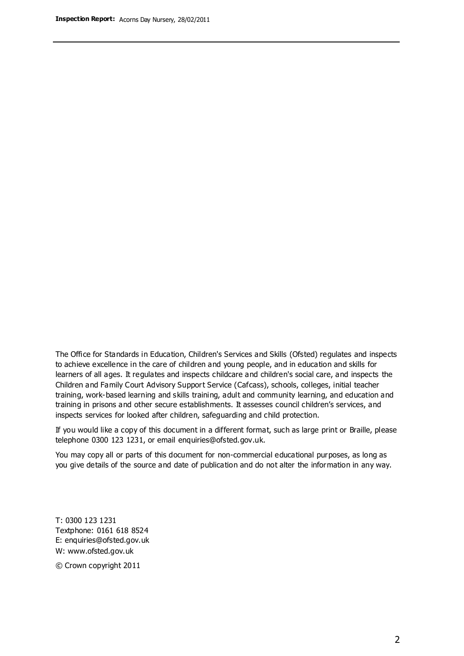The Office for Standards in Education, Children's Services and Skills (Ofsted) regulates and inspects to achieve excellence in the care of children and young people, and in education and skills for learners of all ages. It regulates and inspects childcare and children's social care, and inspects the Children and Family Court Advisory Support Service (Cafcass), schools, colleges, initial teacher training, work-based learning and skills training, adult and community learning, and education and training in prisons and other secure establishments. It assesses council children's services, and inspects services for looked after children, safeguarding and child protection.

If you would like a copy of this document in a different format, such as large print or Braille, please telephone 0300 123 1231, or email enquiries@ofsted.gov.uk.

You may copy all or parts of this document for non-commercial educational purposes, as long as you give details of the source and date of publication and do not alter the information in any way.

T: 0300 123 1231 Textphone: 0161 618 8524 E: enquiries@ofsted.gov.uk W: [www.ofsted.gov.uk](http://www.ofsted.gov.uk/)

© Crown copyright 2011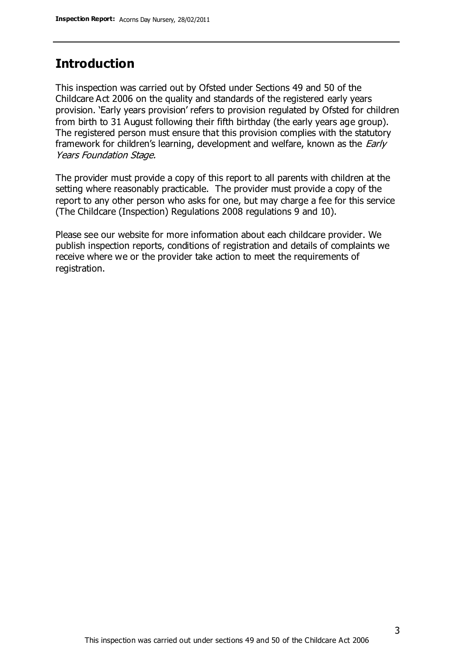# **Introduction**

This inspection was carried out by Ofsted under Sections 49 and 50 of the Childcare Act 2006 on the quality and standards of the registered early years provision. 'Early years provision' refers to provision regulated by Ofsted for children from birth to 31 August following their fifth birthday (the early years age group). The registered person must ensure that this provision complies with the statutory framework for children's learning, development and welfare, known as the *Early* Years Foundation Stage.

The provider must provide a copy of this report to all parents with children at the setting where reasonably practicable. The provider must provide a copy of the report to any other person who asks for one, but may charge a fee for this service (The Childcare (Inspection) Regulations 2008 regulations 9 and 10).

Please see our website for more information about each childcare provider. We publish inspection reports, conditions of registration and details of complaints we receive where we or the provider take action to meet the requirements of registration.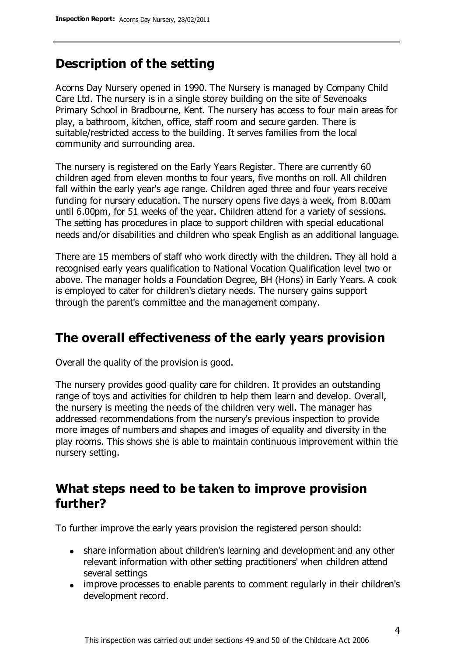# **Description of the setting**

Acorns Day Nursery opened in 1990. The Nursery is managed by Company Child Care Ltd. The nursery is in a single storey building on the site of Sevenoaks Primary School in Bradbourne, Kent. The nursery has access to four main areas for play, a bathroom, kitchen, office, staff room and secure garden. There is suitable/restricted access to the building. It serves families from the local community and surrounding area.

The nursery is registered on the Early Years Register. There are currently 60 children aged from eleven months to four years, five months on roll. All children fall within the early year's age range. Children aged three and four years receive funding for nursery education. The nursery opens five days a week, from 8.00am until 6.00pm, for 51 weeks of the year. Children attend for a variety of sessions. The setting has procedures in place to support children with special educational needs and/or disabilities and children who speak English as an additional language.

There are 15 members of staff who work directly with the children. They all hold a recognised early years qualification to National Vocation Qualification level two or above. The manager holds a Foundation Degree, BH (Hons) in Early Years. A cook is employed to cater for children's dietary needs. The nursery gains support through the parent's committee and the management company.

# **The overall effectiveness of the early years provision**

Overall the quality of the provision is good.

The nursery provides good quality care for children. It provides an outstanding range of toys and activities for children to help them learn and develop. Overall, the nursery is meeting the needs of the children very well. The manager has addressed recommendations from the nursery's previous inspection to provide more images of numbers and shapes and images of equality and diversity in the play rooms. This shows she is able to maintain continuous improvement within the nursery setting.

## **What steps need to be taken to improve provision further?**

To further improve the early years provision the registered person should:

- share information about children's learning and development and any other relevant information with other setting practitioners' when children attend several settings
- improve processes to enable parents to comment regularly in their children's development record.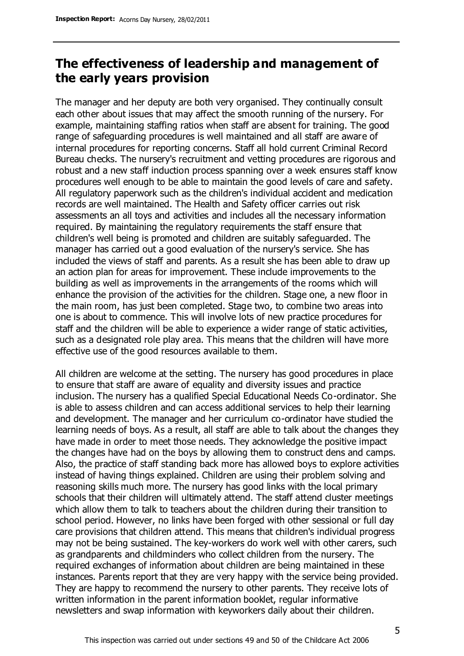# **The effectiveness of leadership and management of the early years provision**

The manager and her deputy are both very organised. They continually consult each other about issues that may affect the smooth running of the nursery. For example, maintaining staffing ratios when staff are absent for training. The good range of safeguarding procedures is well maintained and all staff are aware of internal procedures for reporting concerns. Staff all hold current Criminal Record Bureau checks. The nursery's recruitment and vetting procedures are rigorous and robust and a new staff induction process spanning over a week ensures staff know procedures well enough to be able to maintain the good levels of care and safety. All regulatory paperwork such as the children's individual accident and medication records are well maintained. The Health and Safety officer carries out risk assessments an all toys and activities and includes all the necessary information required. By maintaining the regulatory requirements the staff ensure that children's well being is promoted and children are suitably safeguarded. The manager has carried out a good evaluation of the nursery's service. She has included the views of staff and parents. As a result she has been able to draw up an action plan for areas for improvement. These include improvements to the building as well as improvements in the arrangements of the rooms which will enhance the provision of the activities for the children. Stage one, a new floor in the main room, has just been completed. Stage two, to combine two areas into one is about to commence. This will involve lots of new practice procedures for staff and the children will be able to experience a wider range of static activities, such as a designated role play area. This means that the children will have more effective use of the good resources available to them.

All children are welcome at the setting. The nursery has good procedures in place to ensure that staff are aware of equality and diversity issues and practice inclusion. The nursery has a qualified Special Educational Needs Co-ordinator. She is able to assess children and can access additional services to help their learning and development. The manager and her curriculum co-ordinator have studied the learning needs of boys. As a result, all staff are able to talk about the changes they have made in order to meet those needs. They acknowledge the positive impact the changes have had on the boys by allowing them to construct dens and camps. Also, the practice of staff standing back more has allowed boys to explore activities instead of having things explained. Children are using their problem solving and reasoning skills much more. The nursery has good links with the local primary schools that their children will ultimately attend. The staff attend cluster meetings which allow them to talk to teachers about the children during their transition to school period. However, no links have been forged with other sessional or full day care provisions that children attend. This means that children's individual progress may not be being sustained. The key-workers do work well with other carers, such as grandparents and childminders who collect children from the nursery. The required exchanges of information about children are being maintained in these instances. Parents report that they are very happy with the service being provided. They are happy to recommend the nursery to other parents. They receive lots of written information in the parent information booklet, regular informative newsletters and swap information with keyworkers daily about their children.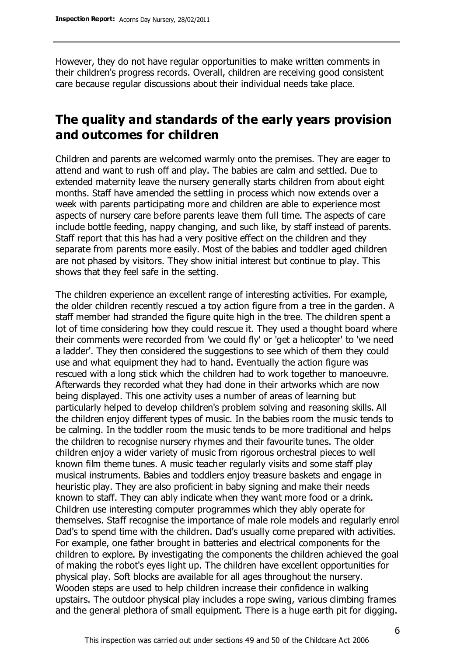However, they do not have regular opportunities to make written comments in their children's progress records. Overall, children are receiving good consistent care because regular discussions about their individual needs take place.

# **The quality and standards of the early years provision and outcomes for children**

Children and parents are welcomed warmly onto the premises. They are eager to attend and want to rush off and play. The babies are calm and settled. Due to extended maternity leave the nursery generally starts children from about eight months. Staff have amended the settling in process which now extends over a week with parents participating more and children are able to experience most aspects of nursery care before parents leave them full time. The aspects of care include bottle feeding, nappy changing, and such like, by staff instead of parents. Staff report that this has had a very positive effect on the children and they separate from parents more easily. Most of the babies and toddler aged children are not phased by visitors. They show initial interest but continue to play. This shows that they feel safe in the setting.

The children experience an excellent range of interesting activities. For example, the older children recently rescued a toy action figure from a tree in the garden. A staff member had stranded the figure quite high in the tree. The children spent a lot of time considering how they could rescue it. They used a thought board where their comments were recorded from 'we could fly' or 'get a helicopter' to 'we need a ladder'. They then considered the suggestions to see which of them they could use and what equipment they had to hand. Eventually the action figure was rescued with a long stick which the children had to work together to manoeuvre. Afterwards they recorded what they had done in their artworks which are now being displayed. This one activity uses a number of areas of learning but particularly helped to develop children's problem solving and reasoning skills. All the children enjoy different types of music. In the babies room the music tends to be calming. In the toddler room the music tends to be more traditional and helps the children to recognise nursery rhymes and their favourite tunes. The older children enjoy a wider variety of music from rigorous orchestral pieces to well known film theme tunes. A music teacher regularly visits and some staff play musical instruments. Babies and toddlers enjoy treasure baskets and engage in heuristic play. They are also proficient in baby signing and make their needs known to staff. They can ably indicate when they want more food or a drink. Children use interesting computer programmes which they ably operate for themselves. Staff recognise the importance of male role models and regularly enrol Dad's to spend time with the children. Dad's usually come prepared with activities. For example, one father brought in batteries and electrical components for the children to explore. By investigating the components the children achieved the goal of making the robot's eyes light up. The children have excellent opportunities for physical play. Soft blocks are available for all ages throughout the nursery. Wooden steps are used to help children increase their confidence in walking upstairs. The outdoor physical play includes a rope swing, various climbing frames and the general plethora of small equipment. There is a huge earth pit for digging.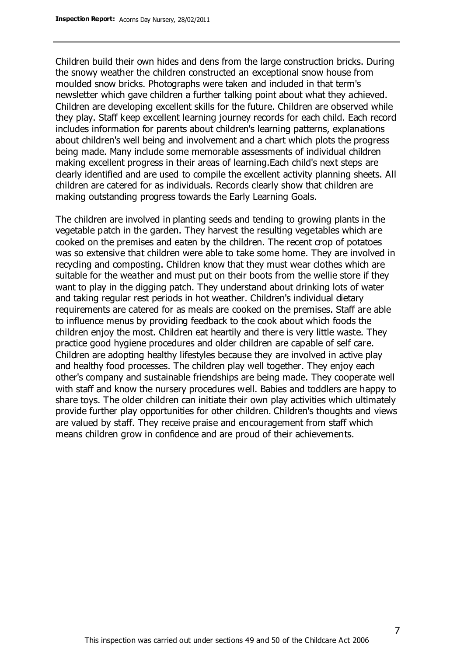Children build their own hides and dens from the large construction bricks. During the snowy weather the children constructed an exceptional snow house from moulded snow bricks. Photographs were taken and included in that term's newsletter which gave children a further talking point about what they achieved. Children are developing excellent skills for the future. Children are observed while they play. Staff keep excellent learning journey records for each child. Each record includes information for parents about children's learning patterns, explanations about children's well being and involvement and a chart which plots the progress being made. Many include some memorable assessments of individual children making excellent progress in their areas of learning.Each child's next steps are clearly identified and are used to compile the excellent activity planning sheets. All children are catered for as individuals. Records clearly show that children are making outstanding progress towards the Early Learning Goals.

The children are involved in planting seeds and tending to growing plants in the vegetable patch in the garden. They harvest the resulting vegetables which are cooked on the premises and eaten by the children. The recent crop of potatoes was so extensive that children were able to take some home. They are involved in recycling and composting. Children know that they must wear clothes which are suitable for the weather and must put on their boots from the wellie store if they want to play in the digging patch. They understand about drinking lots of water and taking regular rest periods in hot weather. Children's individual dietary requirements are catered for as meals are cooked on the premises. Staff are able to influence menus by providing feedback to the cook about which foods the children enjoy the most. Children eat heartily and there is very little waste. They practice good hygiene procedures and older children are capable of self care. Children are adopting healthy lifestyles because they are involved in active play and healthy food processes. The children play well together. They enjoy each other's company and sustainable friendships are being made. They cooperate well with staff and know the nursery procedures well. Babies and toddlers are happy to share toys. The older children can initiate their own play activities which ultimately provide further play opportunities for other children. Children's thoughts and views are valued by staff. They receive praise and encouragement from staff which means children grow in confidence and are proud of their achievements.